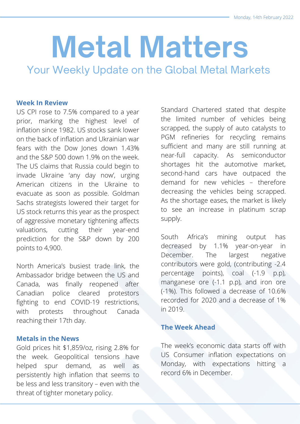# **Metal Matters**

Your Weekly Update on the Global Metal Markets

## **Week In Review**

US CPI rose to 7.5% compared to a year prior, marking the highest level of inflation since 1982. US stocks sank lower on the back of inflation and Ukrainian war fears with the Dow Jones down 1.43% and the S&P 500 down 1.9% on the week. The US claims that Russia could begin to invade Ukraine 'any day now', urging American citizens in the Ukraine to evacuate as soon as possible. Goldman Sachs strategists lowered their target for US stock returns this year as the prospect of aggressive monetary tightening affects valuations, cutting their year-end prediction for the S&P down by 200 points to 4,900.

North America's busiest trade link, the Ambassador bridge between the US and Canada, was finally reopened after Canadian police cleared protestors fighting to end COVID-19 restrictions, with protests throughout Canada reaching their 17th day.

## **Metals in the News**

Gold prices hit \$1,859/oz, rising 2.8% for the week. Geopolitical tensions have helped spur demand, as well as persistently high inflation that seems to be less and less transitory – even with the threat of tighter monetary policy.

Standard Chartered stated that despite the limited number of vehicles being scrapped, the supply of auto catalysts to PGM refineries for recycling remains sufficient and many are still running at near-full capacity. As semiconductor shortages hit the automotive market, second-hand cars have outpaced the demand for new vehicles – therefore decreasing the vehicles being scrapped. As the shortage eases, the market is likely to see an increase in platinum scrap supply.

South Africa's mining output has decreased by 1.1% year-on-year in December. The largest negative contributors were gold, (contributing -2.4 percentage points), coal (-1.9 p.p), manganese ore (-1.1 p.p), and iron ore (-1%). This followed a decrease of 10.6% recorded for 2020 and a decrease of 1% in 2019.

# **The Week Ahead**

The week's economic data starts off with US Consumer inflation expectations on Monday, with expectations hitting a record 6% in December.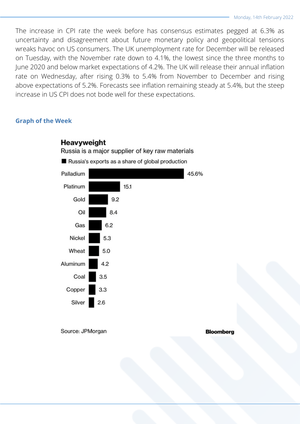The increase in CPI rate the week before has consensus estimates pegged at 6.3% as uncertainty and disagreement about future monetary policy and geopolitical tensions wreaks havoc on US consumers. The UK unemployment rate for December will be released on Tuesday, with the November rate down to 4.1%, the lowest since the three months to June 2020 and below market expectations of 4.2%. The UK will release their annual inflation rate on Wednesday, after rising 0.3% to 5.4% from November to December and rising above expectations of 5.2%. Forecasts see inflation remaining steady at 5.4%, but the steep increase in US CPI does not bode well for these expectations.

### **Graph of the Week**



Source: JPMorgan

#### **Bloomberg**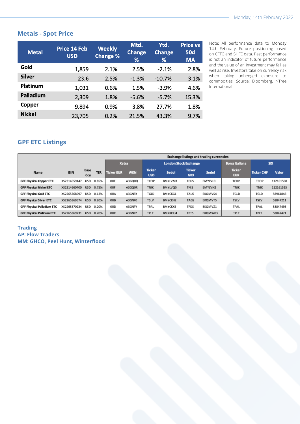# **Metals - Spot Price**

| <b>Metal</b>  | Price 14 Feb<br><b>USD</b> | <b>Weekly</b><br><b>Change %</b> | Mtd.<br><b>Change</b><br>% | Ytd.<br><b>Change</b><br>% | <b>Price vs</b><br><b>50d</b><br><b>MA</b> |
|---------------|----------------------------|----------------------------------|----------------------------|----------------------------|--------------------------------------------|
| Gold          | 1,859                      | 2.1%                             | 2.5%                       | $-2.1%$                    | 2.8%                                       |
| <b>Silver</b> | 23.6                       | 2.5%                             | $-1.3%$                    | $-10.7%$                   | 3.1%                                       |
| Platinum      | 1,031                      | 0.6%                             | 1.5%                       | $-3.9%$                    | 4.6%                                       |
| Palladium     | 2,309                      | 1.8%                             | $-6.6%$                    | $-5.7%$                    | 15.3%                                      |
| Copper        | 9,894                      | 0.9%                             | 3.8%                       | 27.7%                      | 1.8%                                       |
| <b>Nickel</b> | 23,705                     | 0.2%                             | 21.5%                      | 43.3%                      | 9.7%                                       |

Note: All performance data to Monday 14th February. Future positioning based on CFTC and SHFE data. Past performance is not an indicator of future performance and the value of an investment may fall as well as rise. Investors take on currency risk when taking unhedged exposure to commodities. Source: Bloomberg, NTree International

# **GPF ETC Listings**

|                                   |              |                    |            | <b>Exchange listings and trading currencies</b> |            |                              |                |                             |         |                             |                   |           |
|-----------------------------------|--------------|--------------------|------------|-------------------------------------------------|------------|------------------------------|----------------|-----------------------------|---------|-----------------------------|-------------------|-----------|
|                                   |              |                    |            | <b>Xetra</b>                                    |            | <b>London Stock Exchange</b> |                |                             |         | <b>Borsa Italiana</b>       | <b>SIX</b>        |           |
| <b>Name</b>                       | <b>ISIN</b>  | <b>Base</b><br>Ccy | <b>TER</b> | <b>Ticker EUR</b>                               | <b>WKN</b> | <b>Ticker</b><br><b>USD</b>  | Sedol          | <b>Ticker</b><br><b>GBX</b> | Sedol   | <b>Ticker</b><br><b>EUR</b> | <b>Ticker CHF</b> | Valor     |
| <b>GPF Physical Copper ETC</b>    | XS2314659447 | USD                | 0.85%      | OIIE                                            | A3GQ0Q     | TCOP                         | BMYLVM1        | TCUS                        | BMYLVLO | TCOP                        | TCOP              | 112161508 |
| <b>GPP Physical Nickel ETC</b>    | XS2314660700 | <b>USD</b>         | 0.75%      | OIIF                                            | A3GQ0R     | <b>TNIK</b>                  | BMYLVQ5        | <b>TNIS</b>                 | BMYLVN2 | <b>TNIK</b>                 | <b>TNIK</b>       | 112161525 |
| <b>GPF Physical Gold ETC</b>      | XS2265368097 | <b>USD</b>         | 0.12%      | OIIA                                            | A3GNPX     | TGLD                         | <b>BMYCKG1</b> | TAUS                        | BKQMVS4 | TGLD                        | TGLD              | 58961848  |
| <b>GPF Physical Silver ETC</b>    | XS2265369574 | <b>USD</b>         | 0.20%      | OIIB                                            | A3GNPO     | <b>TSLV</b>                  | BMYCKH2        | <b>TAGS</b>                 | BKQMVT5 | <b>TSLV</b>                 | <b>TSLV</b>       | 58847211  |
| <b>GPF Physical Palladium ETC</b> | XS2265370234 | USD                | 0.20%      | OIID                                            | A3GNPY     | TPAL                         | <b>BMYCKK5</b> | <b>TPDS</b>                 | BKQMVZ1 | TPAL                        | TPAL              | 58847495  |
| <b>GPF Physical Platinum ETC</b>  | XS2265369731 | <b>USD</b>         | 0.20%      | OIIC                                            | A3GNPZ     | <b>TPLT</b>                  | BMYKCKJ4       | <b>TPTS</b>                 | BKQMW03 | <b>TPLT</b>                 | <b>TPLT</b>       | 58847471  |

#### **Trading AP: Flow Traders MM: GHCO, Peel Hunt, Winterflood**